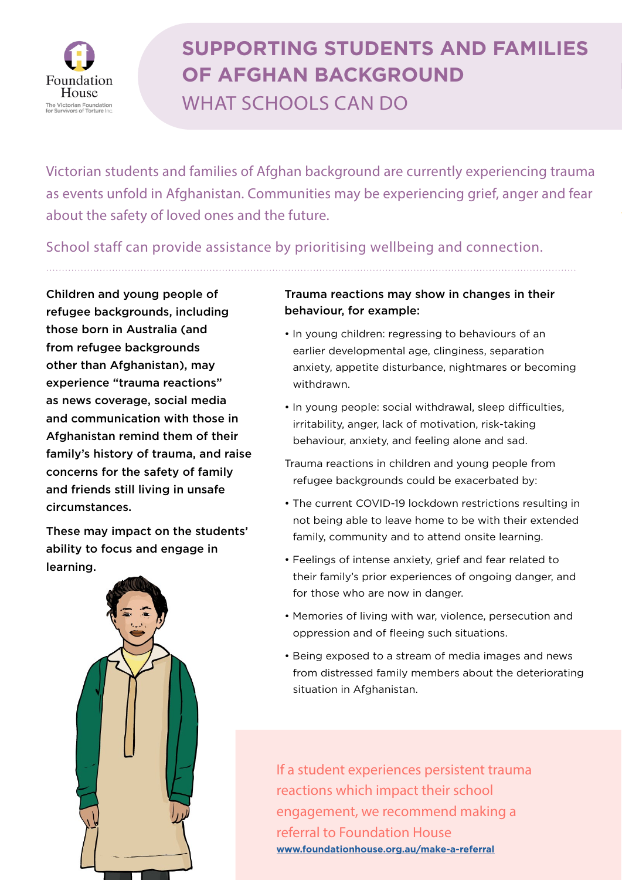

## **SUPPORTING STUDENTS AND FAMILIES OF AFGHAN BACKGROUND** WHAT SCHOOLS CAN DO

Victorian students and families of Afghan background are currently experiencing trauma as events unfold in Afghanistan. Communities may be experiencing grief, anger and fear about the safety of loved ones and the future.

School staff can provide assistance by prioritising wellbeing and connection.

Children and young people of refugee backgrounds, including those born in Australia (and from refugee backgrounds other than Afghanistan), may experience "trauma reactions" as news coverage, social media and communication with those in Afghanistan remind them of their family's history of trauma, and raise concerns for the safety of family and friends still living in unsafe circumstances.

These may impact on the students' ability to focus and engage in learning.



## Trauma reactions may show in changes in their behaviour, for example:

- In young children: regressing to behaviours of an earlier developmental age, clinginess, separation anxiety, appetite disturbance, nightmares or becoming withdrawn.
- In young people: social withdrawal, sleep difficulties, irritability, anger, lack of motivation, risk-taking behaviour, anxiety, and feeling alone and sad.
- Trauma reactions in children and young people from refugee backgrounds could be exacerbated by:
- The current COVID-19 lockdown restrictions resulting in not being able to leave home to be with their extended family, community and to attend onsite learning.
- Feelings of intense anxiety, grief and fear related to their family's prior experiences of ongoing danger, and for those who are now in danger.
- Memories of living with war, violence, persecution and oppression and of fleeing such situations.
- Being exposed to a stream of media images and news from distressed family members about the deteriorating situation in Afghanistan.

If a student experiences persistent trauma reactions which impact their school engagement, we recommend making a referral to Foundation House **[www.foundationhouse.org.au/make-a-referral](https://foundationhouse.org.au/make-a-referral)**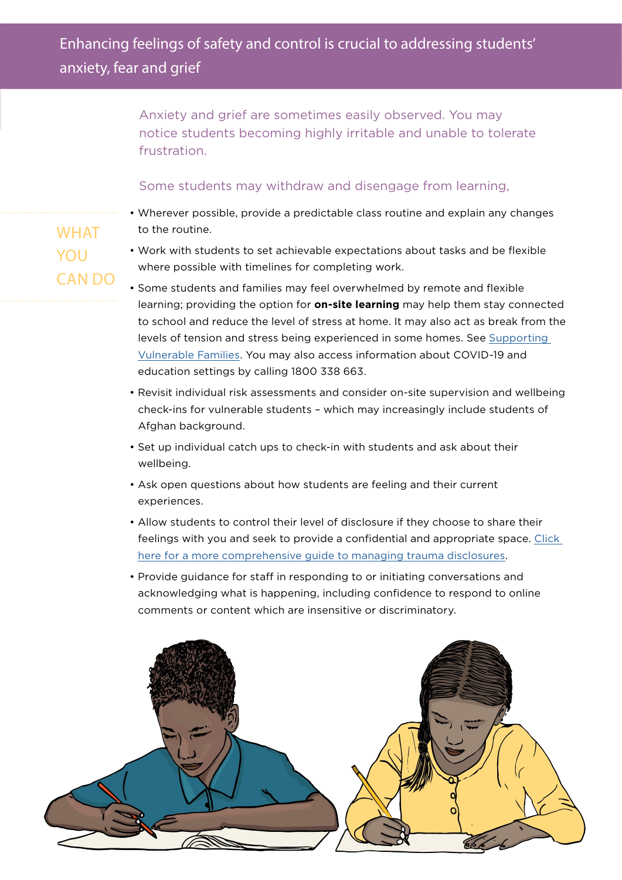Anxiety and grief are sometimes easily observed. You may notice students becoming highly irritable and unable to tolerate frustration.

## Some students may withdraw and disengage from learning,

- Wherever possible, provide a predictable class routine and explain any changes to the routine.
- Work with students to set achievable expectations about tasks and be flexible where possible with timelines for completing work.
- Some students and families may feel overwhelmed by remote and flexible learning; providing the option for **on-site learning** may help them stay connected to school and reduce the level of stress at home. It may also act as break from the levels of tension and stress being experienced in some homes. See [Supporting](https://www.coronavirus.vic.gov.au/supporting-vulnerable-families)  [Vulnerable Families.](https://www.coronavirus.vic.gov.au/supporting-vulnerable-families) You may also access information about COVID-19 and education settings by calling 1800 338 663.
- Revisit individual risk assessments and consider on-site supervision and wellbeing check-ins for vulnerable students – which may increasingly include students of Afghan background.
- Set up individual catch ups to check-in with students and ask about their wellbeing.
- Ask open questions about how students are feeling and their current experiences.
- Allow students to control their level of disclosure if they choose to share their feelings with you and seek to provide a confidential and appropriate space. [Click](https://sifr.foundationhouse.org.au/app/uploads/2020/07/Responding-to-students-trauma-disclosures.pdf)  [here for a more comprehensive guide to managing trauma disclosures.](https://sifr.foundationhouse.org.au/app/uploads/2020/07/Responding-to-students-trauma-disclosures.pdf)
- Provide guidance for staff in responding to or initiating conversations and acknowledging what is happening, including confidence to respond to online comments or content which are insensitive or discriminatory.



WHAT YOU CAN DO